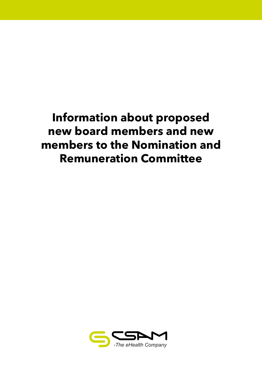# **Information about proposed new board members and new members to the Nomination and Remuneration Committee**

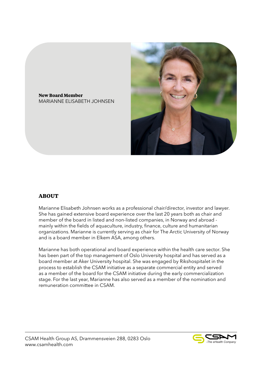

**New Board Member** MARIANNE ELISABETH JOHNSEN

## **ABOUT**

Marianne Elisabeth Johnsen works as a professional chair/director, investor and lawyer. She has gained extensive board experience over the last 20 years both as chair and member of the board in listed and non-listed companies, in Norway and abroad mainly within the fields of aquaculture, industry, finance, culture and humanitarian organizations. Marianne is currently serving as chair for The Arctic University of Norway and is a board member in Elkem ASA, among others.

Marianne has both operational and board experience within the health care sector. She has been part of the top management of Oslo University hospital and has served as a board member at Aker University hospital. She was engaged by Rikshospitalet in the process to establish the CSAM initiative as a separate commercial entity and served as a member of the board for the CSAM initiative during the early commercialization stage. For the last year, Marianne has also served as a member of the nomination and remuneration committee in CSAM.

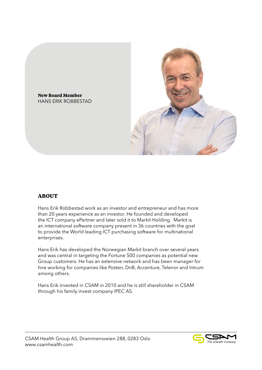

**New Board Member** HANS ERIK ROBBESTAD

## **ABOUT**

Hans Erik Robbestad work as an investor and entrepreneur and has more than 20 years experience as an investor. He founded and developed the ICT company ePartner and later sold it to Markit Holding. Markit is an international software company present in 36 countries with the goal to provide the World leading ICT purchasing software for multinational enterprises.

Hans Erik has developed the Norwegian Markit branch over several years and was central in targeting the Fortune 500 companies as potential new Group customers. He has an extensive network and has been manager for hire working for companies like Posten, DnB, Accenture, Telenor and Intrum among others.

Hans Erik invested in CSAM in 2010 and he is still shareholder in CSAM through his family invest company IPEC AS.



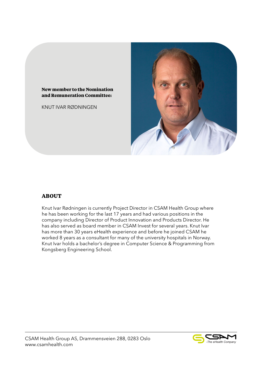#### **New member to the Nomination and Remuneration Committee:**

KNUT IVAR RØDNINGEN



# **ABOUT**

Knut Ivar Rødningen is currently Project Director in CSAM Health Group where he has been working for the last 17 years and had various positions in the company including Director of Product Innovation and Products Director. He has also served as board member in CSAM Invest for several years. Knut Ivar has more than 30 years eHealth experience and before he joined CSAM he worked 8 years as a consultant for many of the university hospitals in Norway. Knut Ivar holds a bachelor's degree in Computer Science & Programming from Kongsberg Engineering School.

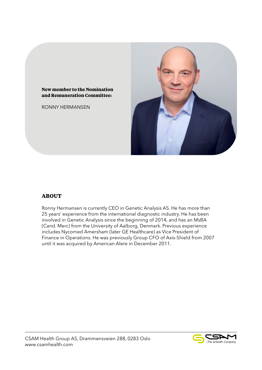

RONNY HERMANSEN



## **ABOUT**

Ronny Hermansen is currently CEO in Genetic Analysis AS. He has more than 25 years' experience from the international diagnostic industry. He has been involved in Genetic Analysis since the beginning of 2014, and has an MsBA (Cand. Merc) from the University of Aalborg, Denmark. Previous experience includes Nycomed Amersham (later GE Healthcare) as Vice President of Finance in Operations. He was previously Group CFO of Axis-Shield from 2007 until it was acquired by American Alere in December 2011.